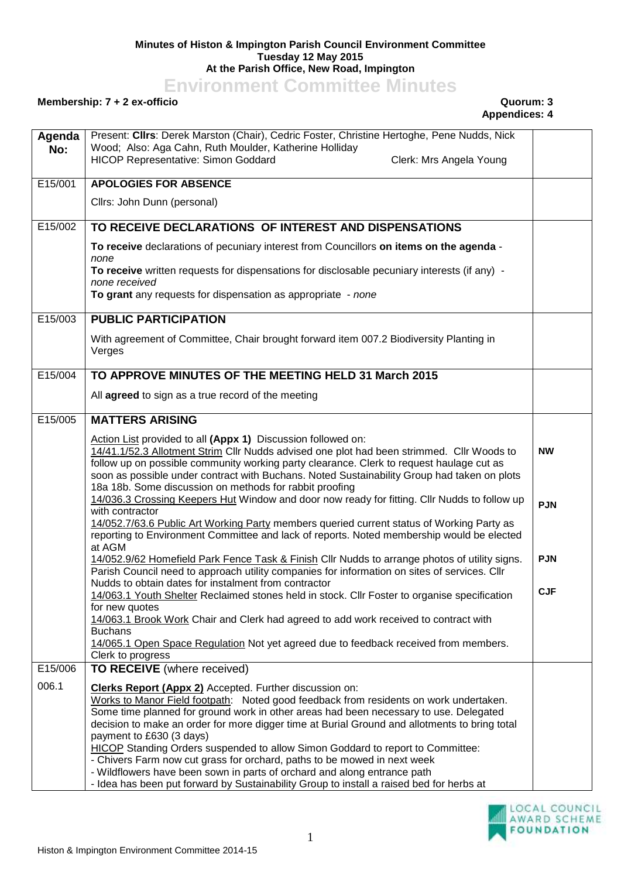## **Minutes of Histon & Impington Parish Council Environment Committee Tuesday 12 May 2015 At the Parish Office, New Road, Impington**

**Environment Committee Minutes**

## **Membership: 7 + 2 ex-officio Quorum: 3**

## **Appendices: 4**

| Agenda<br>No: | Present: Clirs: Derek Marston (Chair), Cedric Foster, Christine Hertoghe, Pene Nudds, Nick<br>Wood; Also: Aga Cahn, Ruth Moulder, Katherine Holliday<br><b>HICOP Representative: Simon Goddard</b><br>Clerk: Mrs Angela Young                                                                                                                                                                                                                                                                                                                                                                                                  |            |
|---------------|--------------------------------------------------------------------------------------------------------------------------------------------------------------------------------------------------------------------------------------------------------------------------------------------------------------------------------------------------------------------------------------------------------------------------------------------------------------------------------------------------------------------------------------------------------------------------------------------------------------------------------|------------|
| E15/001       | <b>APOLOGIES FOR ABSENCE</b>                                                                                                                                                                                                                                                                                                                                                                                                                                                                                                                                                                                                   |            |
|               | Cllrs: John Dunn (personal)                                                                                                                                                                                                                                                                                                                                                                                                                                                                                                                                                                                                    |            |
| E15/002       | TO RECEIVE DECLARATIONS OF INTEREST AND DISPENSATIONS                                                                                                                                                                                                                                                                                                                                                                                                                                                                                                                                                                          |            |
|               | To receive declarations of pecuniary interest from Councillors on items on the agenda -<br>none                                                                                                                                                                                                                                                                                                                                                                                                                                                                                                                                |            |
|               | To receive written requests for dispensations for disclosable pecuniary interests (if any) -<br>none received<br>To grant any requests for dispensation as appropriate - none                                                                                                                                                                                                                                                                                                                                                                                                                                                  |            |
| E15/003       | <b>PUBLIC PARTICIPATION</b>                                                                                                                                                                                                                                                                                                                                                                                                                                                                                                                                                                                                    |            |
|               | With agreement of Committee, Chair brought forward item 007.2 Biodiversity Planting in<br>Verges                                                                                                                                                                                                                                                                                                                                                                                                                                                                                                                               |            |
| E15/004       | TO APPROVE MINUTES OF THE MEETING HELD 31 March 2015                                                                                                                                                                                                                                                                                                                                                                                                                                                                                                                                                                           |            |
|               | All agreed to sign as a true record of the meeting                                                                                                                                                                                                                                                                                                                                                                                                                                                                                                                                                                             |            |
| E15/005       | <b>MATTERS ARISING</b>                                                                                                                                                                                                                                                                                                                                                                                                                                                                                                                                                                                                         |            |
|               | Action List provided to all (Appx 1) Discussion followed on:<br>14/41.1/52.3 Allotment Strim Cllr Nudds advised one plot had been strimmed. Cllr Woods to<br>follow up on possible community working party clearance. Clerk to request haulage cut as<br>soon as possible under contract with Buchans. Noted Sustainability Group had taken on plots<br>18a 18b. Some discussion on methods for rabbit proofing                                                                                                                                                                                                                | <b>NW</b>  |
|               | 14/036.3 Crossing Keepers Hut Window and door now ready for fitting. Cllr Nudds to follow up<br>with contractor<br>14/052.7/63.6 Public Art Working Party members queried current status of Working Party as                                                                                                                                                                                                                                                                                                                                                                                                                   | <b>PJN</b> |
|               | reporting to Environment Committee and lack of reports. Noted membership would be elected<br>at AGM                                                                                                                                                                                                                                                                                                                                                                                                                                                                                                                            |            |
|               | 14/052.9/62 Homefield Park Fence Task & Finish Cllr Nudds to arrange photos of utility signs.<br>Parish Council need to approach utility companies for information on sites of services. Cllr<br>Nudds to obtain dates for instalment from contractor                                                                                                                                                                                                                                                                                                                                                                          | <b>PJN</b> |
|               | 14/063.1 Youth Shelter Reclaimed stones held in stock. Cllr Foster to organise specification<br>for new quotes                                                                                                                                                                                                                                                                                                                                                                                                                                                                                                                 | <b>CJF</b> |
|               | 14/063.1 Brook Work Chair and Clerk had agreed to add work received to contract with<br><b>Buchans</b>                                                                                                                                                                                                                                                                                                                                                                                                                                                                                                                         |            |
|               | 14/065.1 Open Space Regulation Not yet agreed due to feedback received from members.<br>Clerk to progress                                                                                                                                                                                                                                                                                                                                                                                                                                                                                                                      |            |
| E15/006       | TO RECEIVE (where received)                                                                                                                                                                                                                                                                                                                                                                                                                                                                                                                                                                                                    |            |
| 006.1         | <b>Clerks Report (Appx 2)</b> Accepted. Further discussion on:<br>Works to Manor Field footpath: Noted good feedback from residents on work undertaken.<br>Some time planned for ground work in other areas had been necessary to use. Delegated<br>decision to make an order for more digger time at Burial Ground and allotments to bring total<br>payment to £630 (3 days)<br><b>HICOP</b> Standing Orders suspended to allow Simon Goddard to report to Committee:<br>- Chivers Farm now cut grass for orchard, paths to be mowed in next week<br>- Wildflowers have been sown in parts of orchard and along entrance path |            |
|               | - Idea has been put forward by Sustainability Group to install a raised bed for herbs at                                                                                                                                                                                                                                                                                                                                                                                                                                                                                                                                       |            |

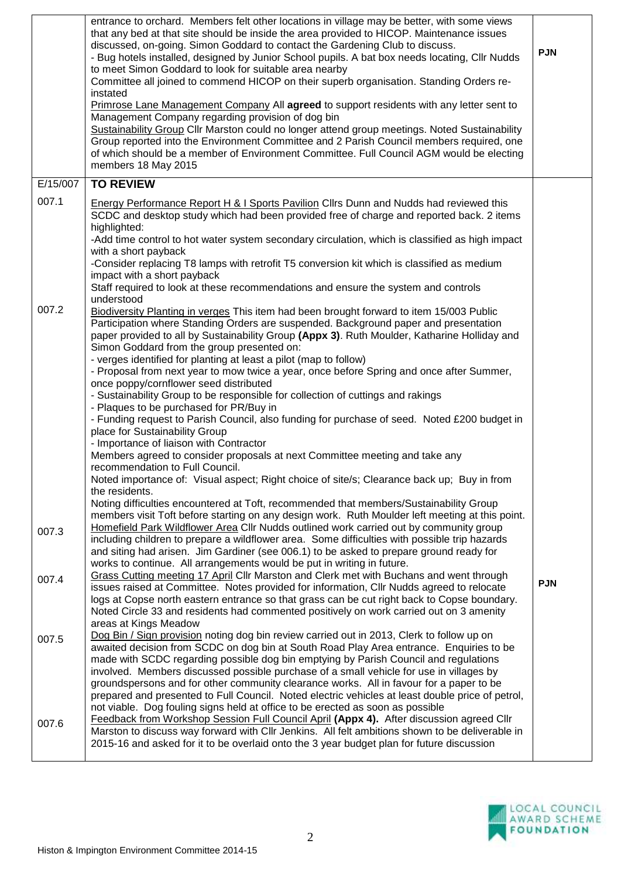|                | entrance to orchard. Members felt other locations in village may be better, with some views<br>that any bed at that site should be inside the area provided to HICOP. Maintenance issues<br>discussed, on-going. Simon Goddard to contact the Gardening Club to discuss.<br>- Bug hotels installed, designed by Junior School pupils. A bat box needs locating, Cllr Nudds<br>to meet Simon Goddard to look for suitable area nearby<br>Committee all joined to commend HICOP on their superb organisation. Standing Orders re-<br>instated<br>Primrose Lane Management Company All agreed to support residents with any letter sent to<br>Management Company regarding provision of dog bin<br>Sustainability Group Cllr Marston could no longer attend group meetings. Noted Sustainability<br>Group reported into the Environment Committee and 2 Parish Council members required, one<br>of which should be a member of Environment Committee. Full Council AGM would be electing<br>members 18 May 2015                                                                                                                                                                                                                                                                        | <b>PJN</b> |
|----------------|-------------------------------------------------------------------------------------------------------------------------------------------------------------------------------------------------------------------------------------------------------------------------------------------------------------------------------------------------------------------------------------------------------------------------------------------------------------------------------------------------------------------------------------------------------------------------------------------------------------------------------------------------------------------------------------------------------------------------------------------------------------------------------------------------------------------------------------------------------------------------------------------------------------------------------------------------------------------------------------------------------------------------------------------------------------------------------------------------------------------------------------------------------------------------------------------------------------------------------------------------------------------------------------|------------|
| E/15/007       | <b>TO REVIEW</b>                                                                                                                                                                                                                                                                                                                                                                                                                                                                                                                                                                                                                                                                                                                                                                                                                                                                                                                                                                                                                                                                                                                                                                                                                                                                    |            |
| 007.1          | Energy Performance Report H & I Sports Pavilion Cllrs Dunn and Nudds had reviewed this<br>SCDC and desktop study which had been provided free of charge and reported back. 2 items<br>highlighted:<br>-Add time control to hot water system secondary circulation, which is classified as high impact<br>with a short payback<br>-Consider replacing T8 lamps with retrofit T5 conversion kit which is classified as medium<br>impact with a short payback<br>Staff required to look at these recommendations and ensure the system and controls<br>understood                                                                                                                                                                                                                                                                                                                                                                                                                                                                                                                                                                                                                                                                                                                      |            |
| 007.2          | Biodiversity Planting in verges This item had been brought forward to item 15/003 Public<br>Participation where Standing Orders are suspended. Background paper and presentation<br>paper provided to all by Sustainability Group (Appx 3). Ruth Moulder, Katharine Holliday and<br>Simon Goddard from the group presented on:<br>- verges identified for planting at least a pilot (map to follow)<br>- Proposal from next year to mow twice a year, once before Spring and once after Summer,<br>once poppy/cornflower seed distributed<br>- Sustainability Group to be responsible for collection of cuttings and rakings<br>- Plaques to be purchased for PR/Buy in<br>- Funding request to Parish Council, also funding for purchase of seed. Noted £200 budget in<br>place for Sustainability Group<br>- Importance of liaison with Contractor<br>Members agreed to consider proposals at next Committee meeting and take any<br>recommendation to Full Council.<br>Noted importance of: Visual aspect; Right choice of site/s; Clearance back up; Buy in from<br>the residents.<br>Noting difficulties encountered at Toft, recommended that members/Sustainability Group<br>members visit Toft before starting on any design work. Ruth Moulder left meeting at this point. |            |
| 007.3          | Homefield Park Wildflower Area Cllr Nudds outlined work carried out by community group<br>including children to prepare a wildflower area. Some difficulties with possible trip hazards<br>and siting had arisen. Jim Gardiner (see 006.1) to be asked to prepare ground ready for<br>works to continue. All arrangements would be put in writing in future.                                                                                                                                                                                                                                                                                                                                                                                                                                                                                                                                                                                                                                                                                                                                                                                                                                                                                                                        |            |
| 007.4          | Grass Cutting meeting 17 April Cllr Marston and Clerk met with Buchans and went through<br>issues raised at Committee. Notes provided for information, Cllr Nudds agreed to relocate<br>logs at Copse north eastern entrance so that grass can be cut right back to Copse boundary.<br>Noted Circle 33 and residents had commented positively on work carried out on 3 amenity<br>areas at Kings Meadow                                                                                                                                                                                                                                                                                                                                                                                                                                                                                                                                                                                                                                                                                                                                                                                                                                                                             | <b>PJN</b> |
| 007.5<br>007.6 | Dog Bin / Sign provision noting dog bin review carried out in 2013, Clerk to follow up on<br>awaited decision from SCDC on dog bin at South Road Play Area entrance. Enquiries to be<br>made with SCDC regarding possible dog bin emptying by Parish Council and regulations<br>involved. Members discussed possible purchase of a small vehicle for use in villages by<br>groundspersons and for other community clearance works. All in favour for a paper to be<br>prepared and presented to Full Council. Noted electric vehicles at least double price of petrol,<br>not viable. Dog fouling signs held at office to be erected as soon as possible<br><b>Feedback from Workshop Session Full Council April (Appx 4).</b> After discussion agreed Cllr<br>Marston to discuss way forward with Cllr Jenkins. All felt ambitions shown to be deliverable in                                                                                                                                                                                                                                                                                                                                                                                                                      |            |
|                | 2015-16 and asked for it to be overlaid onto the 3 year budget plan for future discussion                                                                                                                                                                                                                                                                                                                                                                                                                                                                                                                                                                                                                                                                                                                                                                                                                                                                                                                                                                                                                                                                                                                                                                                           |            |